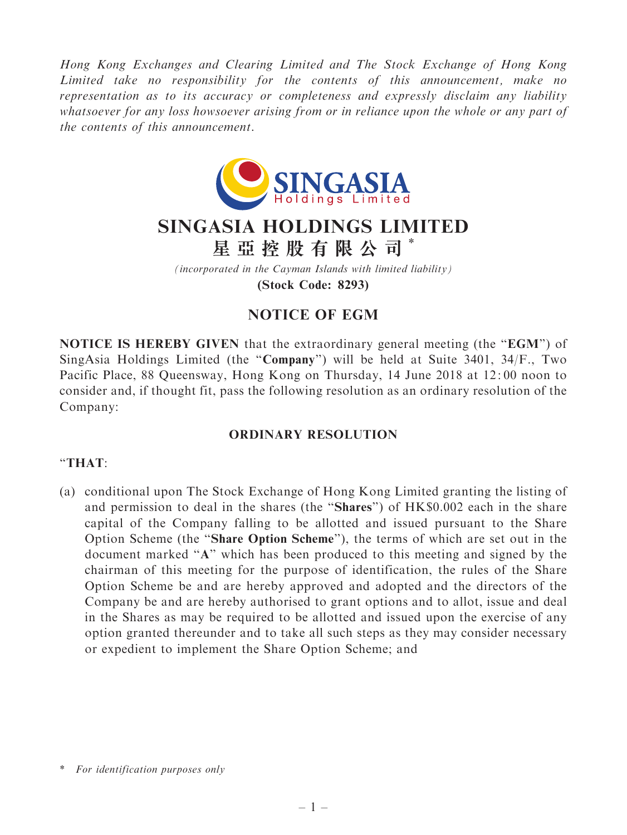Hong Kong Exchanges and Clearing Limited and The Stock Exchange of Hong Kong Limited take no responsibility for the contents of this announcement, make no representation as to its accuracy or completeness and expressly disclaim any liability whatsoever for any loss howsoever arising from or in reliance upon the whole or any part of the contents of this announcement.



## SINGASIA HOLDINGS LIMITED 星 亞 控 股 有 限 公 司 \*

(incorporated in the Cayman Islands with limited liability) (Stock Code: 8293)

## NOTICE OF EGM

NOTICE IS HEREBY GIVEN that the extraordinary general meeting (the "EGM") of SingAsia Holdings Limited (the "Company") will be held at Suite 3401, 34/F., Two Pacific Place, 88 Queensway, Hong Kong on Thursday, 14 June 2018 at 12: 00 noon to consider and, if thought fit, pass the following resolution as an ordinary resolution of the Company:

## ORDINARY RESOLUTION

## ''THAT:

(a) conditional upon The Stock Exchange of Hong Kong Limited granting the listing of and permission to deal in the shares (the "Shares") of HK\$0.002 each in the share capital of the Company falling to be allotted and issued pursuant to the Share Option Scheme (the ''Share Option Scheme''), the terms of which are set out in the document marked ''A'' which has been produced to this meeting and signed by the chairman of this meeting for the purpose of identification, the rules of the Share Option Scheme be and are hereby approved and adopted and the directors of the Company be and are hereby authorised to grant options and to allot, issue and deal in the Shares as may be required to be allotted and issued upon the exercise of any option granted thereunder and to take all such steps as they may consider necessary or expedient to implement the Share Option Scheme; and

<sup>\*</sup> For identification purposes only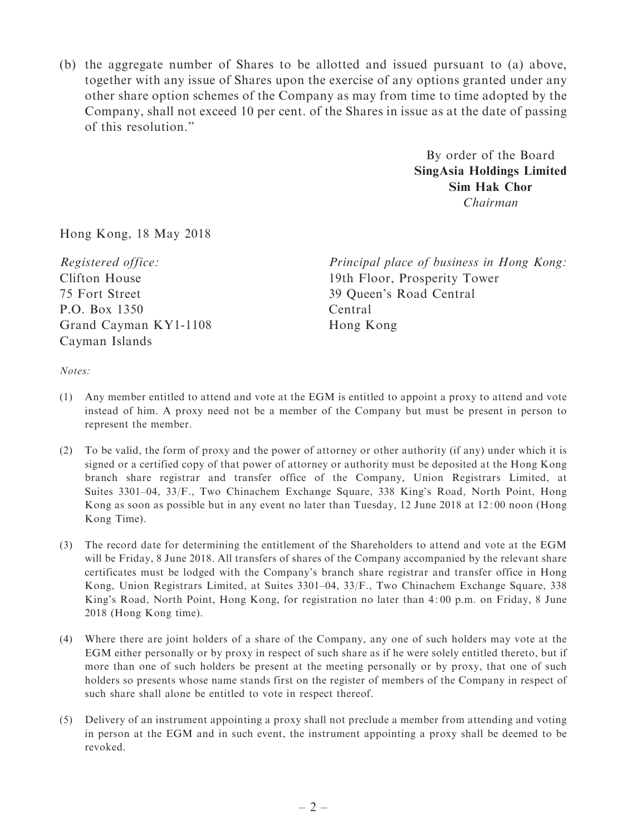(b) the aggregate number of Shares to be allotted and issued pursuant to (a) above, together with any issue of Shares upon the exercise of any options granted under any other share option schemes of the Company as may from time to time adopted by the Company, shall not exceed 10 per cent. of the Shares in issue as at the date of passing of this resolution.''

> By order of the Board SingAsia Holdings Limited Sim Hak Chor Chairman

Hong Kong, 18 May 2018

Registered office: Clifton House 75 Fort Street P.O. Box 1350 Grand Cayman KY1-1108 Cayman Islands

Principal place of business in Hong Kong: 19th Floor, Prosperity Tower 39 Queen's Road Central Central Hong Kong

Notes:

- (1) Any member entitled to attend and vote at the EGM is entitled to appoint a proxy to attend and vote instead of him. A proxy need not be a member of the Company but must be present in person to represent the member.
- (2) To be valid, the form of proxy and the power of attorney or other authority (if any) under which it is signed or a certified copy of that power of attorney or authority must be deposited at the Hong Kong branch share registrar and transfer office of the Company, Union Registrars Limited, at Suites 3301–04, 33/F., Two Chinachem Exchange Square, 338 King's Road, North Point, Hong Kong as soon as possible but in any event no later than Tuesday, 12 June 2018 at 12: 00 noon (Hong Kong Time).
- (3) The record date for determining the entitlement of the Shareholders to attend and vote at the EGM will be Friday, 8 June 2018. All transfers of shares of the Company accompanied by the relevant share certificates must be lodged with the Company's branch share registrar and transfer office in Hong Kong, Union Registrars Limited, at Suites 3301–04, 33/F., Two Chinachem Exchange Square, 338 King's Road, North Point, Hong Kong, for registration no later than 4: 00 p.m. on Friday, 8 June 2018 (Hong Kong time).
- (4) Where there are joint holders of a share of the Company, any one of such holders may vote at the EGM either personally or by proxy in respect of such share as if he were solely entitled thereto, but if more than one of such holders be present at the meeting personally or by proxy, that one of such holders so presents whose name stands first on the register of members of the Company in respect of such share shall alone be entitled to vote in respect thereof.
- (5) Delivery of an instrument appointing a proxy shall not preclude a member from attending and voting in person at the EGM and in such event, the instrument appointing a proxy shall be deemed to be revoked.